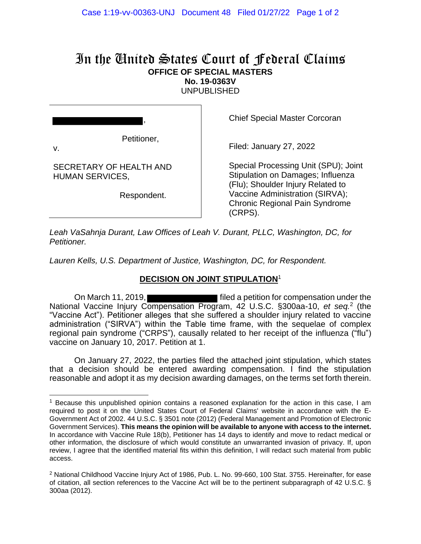## In the United States Court of Federal Claims **OFFICE OF SPECIAL MASTERS No. 19-0363V**

UNPUBLISHED

Petitioner,

,

v.

SECRETARY OF HEALTH AND HUMAN SERVICES,

Respondent.

Chief Special Master Corcoran

Filed: January 27, 2022

Special Processing Unit (SPU); Joint Stipulation on Damages; Influenza (Flu); Shoulder Injury Related to Vaccine Administration (SIRVA); Chronic Regional Pain Syndrome (CRPS).

*Leah VaSahnja Durant, Law Offices of Leah V. Durant, PLLC, Washington, DC, for Petitioner.*

*Lauren Kells, U.S. Department of Justice, Washington, DC, for Respondent.*

## **DECISION ON JOINT STIPULATION**<sup>1</sup>

On March 11, 2019, **Fig. 2019**, **filed a petition for compensation under the** National Vaccine Injury Compensation Program, 42 U.S.C. §300aa-10, *et seq.*<sup>2</sup> (the "Vaccine Act"). Petitioner alleges that she suffered a shoulder injury related to vaccine administration ("SIRVA") within the Table time frame, with the sequelae of complex regional pain syndrome ("CRPS"), causally related to her receipt of the influenza ("flu") vaccine on January 10, 2017. Petition at 1.

On January 27, 2022, the parties filed the attached joint stipulation, which states that a decision should be entered awarding compensation. I find the stipulation reasonable and adopt it as my decision awarding damages, on the terms set forth therein.

<sup>&</sup>lt;sup>1</sup> Because this unpublished opinion contains a reasoned explanation for the action in this case, I am required to post it on the United States Court of Federal Claims' website in accordance with the E-Government Act of 2002. 44 U.S.C. § 3501 note (2012) (Federal Management and Promotion of Electronic Government Services). **This means the opinion will be available to anyone with access to the internet.** In accordance with Vaccine Rule 18(b), Petitioner has 14 days to identify and move to redact medical or other information, the disclosure of which would constitute an unwarranted invasion of privacy. If, upon review, I agree that the identified material fits within this definition, I will redact such material from public access.

<sup>&</sup>lt;sup>2</sup> National Childhood Vaccine Injury Act of 1986, Pub. L. No. 99-660, 100 Stat. 3755. Hereinafter, for ease of citation, all section references to the Vaccine Act will be to the pertinent subparagraph of 42 U.S.C. § 300aa (2012).